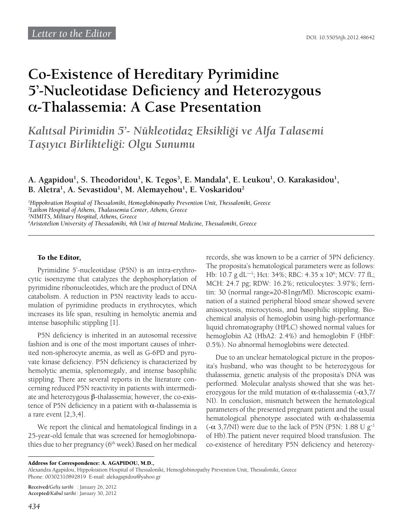## **Co-Existence of Hereditary Pyrimidine 5'-Nucleotidase Deficiency and Heterozygous**  α**-Thalassemia: A Case Presentation**

*Kalıtsal Pirimidin 5'- Nükleotidaz Eksikliği ve Alfa Talasemi Taşıyıcı Birlikteliği: Olgu Sunumu*

A. Agapidou<sup>1</sup>, S. Theodoridou<sup>1</sup>, K. Tegos<sup>3</sup>, E. Mandala<sup>4</sup>, E. Leukou<sup>1</sup>, O. Karakasidou<sup>1</sup>, **B. Aletra1 , A. Sevastidou1 , M. Alemayehou1 , E. Voskaridou2**

 *Hippokration Hospital of Thessaloniki, Hemoglobinopathy Prevention Unit, Thessaloniki, Greece Laikon Hospital of Athens, Thalassemia Center, Athens, Greece NIMITS, Military Hospital, Athens, Greece Aristotelion University of Thessaloniki, 4th Unit of Internal Medicine, Thessaloniki, Greece*

## To the Editor,

Pyrimidine 5'-nucleotidase (P5N) is an intra-erythrocytic isoenzyme that catalyzes the dephosphorylation of pyrimidine ribonucleotides, which are the product of DNA catabolism. A reduction in P5N reactivity leads to accumulation of pyrimidine products in erythrocytes, which increases its life span, resulting in hemolytic anemia and intense basophilic stippling [1].

P5N deficiency is inherited in an autosomal recessive fashion and is one of the most important causes of inherited non-spherocyte anemia, as well as G-6PD and pyruvate kinase deficiency. P5N deficiency is characterized by hemolytic anemia, splenomegaly, and intense basophilic stippling. There are several reports in the literature concerning reduced P5N reactivity in patients with intermediate and heterozygous β-thalassemia; however, the co-existence of P5N deficiency in a patient with  $α$ -thalassemia is a rare event [2,3,4].

We report the clinical and hematological findings in a 25-year-old female that was screened for hemoglobinopathies due to her pregnancy ( $6<sup>th</sup>$  week). Based on her medical

records, she was known to be a carrier of 5PN deficiency. The proposita's hematological parameters were as follows: Hb: 10.7 g dL<sup>-1</sup>; Hct: 34%; RBC: 4.35 x 10<sup>6</sup>; MCV: 77 fL; MCH: 24.7 pg; RDW: 16.2%; reticulocytes: 3.97%; ferritin: 30 (normal range=20-81ngr/Ml). Microscopic examination of a stained peripheral blood smear showed severe anisocytosis, microcytosis, and basophilic stippling. Biochemical analysis of hemoglobin using high-performance liquid chromatography (HPLC) showed normal values for hemoglobin A2 (HbA2: 2.4%) and hemoglobin F (HbF: 0.5%). No abnormal hemoglobins were detected.

Due to an unclear hematological picture in the proposita's husband, who was thought to be heterozygous for thalassemia, genetic analysis of the proposita's DNA was performed. Molecular analysis showed that she was heterozygous for the mild mutation of  $\alpha$ -thalassemia (- $\alpha$ 3,7/ NI). In conclusion, mismatch between the hematological parameters of the presented pregnant patient and the usual hematological phenotype associated with  $\alpha$ -thalassemia  $(-\alpha 3,7/NI)$  were due to the lack of P5N (P5N: 1.88 U g<sup>-1</sup> of Hb).The patient never required blood transfusion. The co-existence of hereditary P5N deficiency and heterozy-

**Received**/*Geliş tarihi* : January 26, 2012 **Accepted**/*Kabul tarihi* : January 30, 2012

Address for Correspondence: A. AGAPIDOU, M.D.,

Alexandra Agapidou, Hippokration Hospital of Thessaloniki, Hemoglobinopathy Prevention Unit, Thessaloniki, Greece Phone: 00302310892819 E-mail: alekagapidou@yahoo.gr